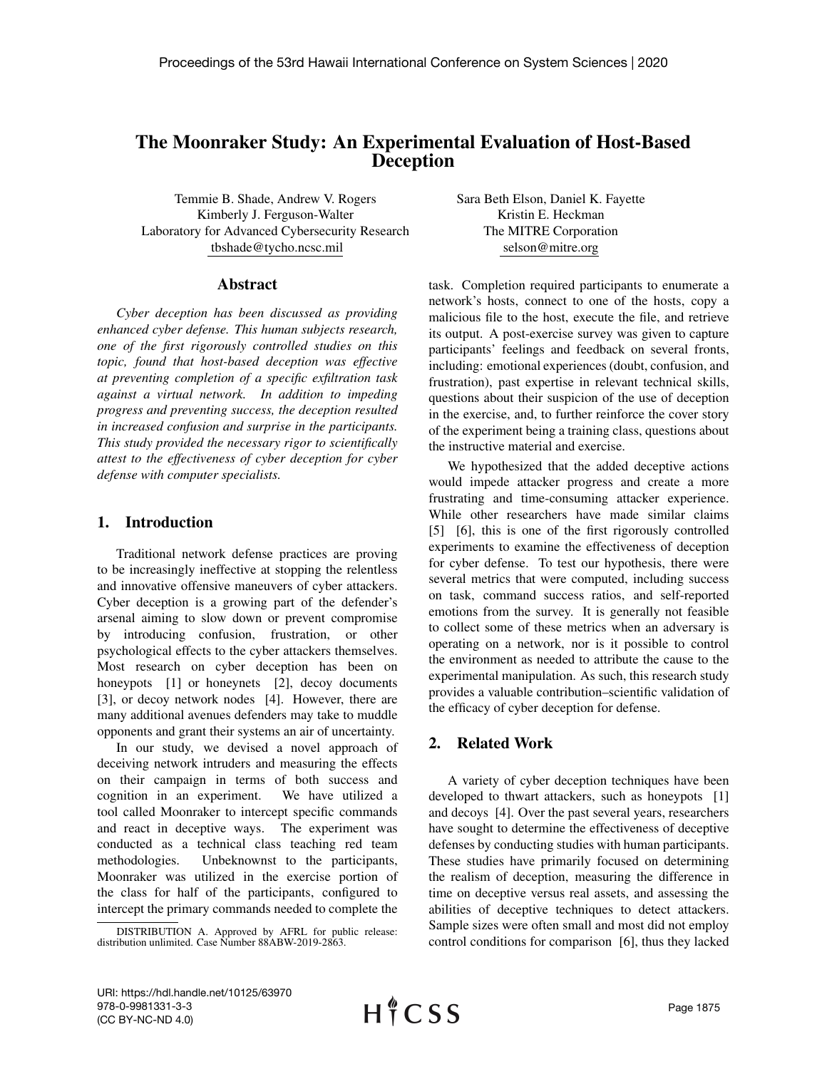# The Moonraker Study: An Experimental Evaluation of Host-Based Deception

Temmie B. Shade, Andrew V. Rogers Kimberly J. Ferguson-Walter Laboratory for Advanced Cybersecurity Research tbshade@tycho.ncsc.mil

Sara Beth Elson, Daniel K. Fayette Kristin E. Heckman The MITRE Corporation selson@mitre.org

#### Abstract

*Cyber deception has been discussed as providing enhanced cyber defense. This human subjects research, one of the first rigorously controlled studies on this topic, found that host-based deception was effective at preventing completion of a specific exfiltration task against a virtual network. In addition to impeding progress and preventing success, the deception resulted in increased confusion and surprise in the participants. This study provided the necessary rigor to scientifically attest to the effectiveness of cyber deception for cyber defense with computer specialists.*

## 1. Introduction

Traditional network defense practices are proving to be increasingly ineffective at stopping the relentless and innovative offensive maneuvers of cyber attackers. Cyber deception is a growing part of the defender's arsenal aiming to slow down or prevent compromise by introducing confusion, frustration, or other psychological effects to the cyber attackers themselves. Most research on cyber deception has been on honeypots [1] or honeynets [2], decoy documents [3], or decoy network nodes [4]. However, there are many additional avenues defenders may take to muddle opponents and grant their systems an air of uncertainty.

In our study, we devised a novel approach of deceiving network intruders and measuring the effects on their campaign in terms of both success and cognition in an experiment. We have utilized a tool called Moonraker to intercept specific commands and react in deceptive ways. The experiment was conducted as a technical class teaching red team methodologies. Unbeknownst to the participants, Moonraker was utilized in the exercise portion of the class for half of the participants, configured to intercept the primary commands needed to complete the

task. Completion required participants to enumerate a network's hosts, connect to one of the hosts, copy a malicious file to the host, execute the file, and retrieve its output. A post-exercise survey was given to capture participants' feelings and feedback on several fronts, including: emotional experiences (doubt, confusion, and frustration), past expertise in relevant technical skills, questions about their suspicion of the use of deception in the exercise, and, to further reinforce the cover story of the experiment being a training class, questions about the instructive material and exercise.

We hypothesized that the added deceptive actions would impede attacker progress and create a more frustrating and time-consuming attacker experience. While other researchers have made similar claims [5] [6], this is one of the first rigorously controlled experiments to examine the effectiveness of deception for cyber defense. To test our hypothesis, there were several metrics that were computed, including success on task, command success ratios, and self-reported emotions from the survey. It is generally not feasible to collect some of these metrics when an adversary is operating on a network, nor is it possible to control the environment as needed to attribute the cause to the experimental manipulation. As such, this research study provides a valuable contribution–scientific validation of the efficacy of cyber deception for defense.

### 2. Related Work

A variety of cyber deception techniques have been developed to thwart attackers, such as honeypots [1] and decoys [4]. Over the past several years, researchers have sought to determine the effectiveness of deceptive defenses by conducting studies with human participants. These studies have primarily focused on determining the realism of deception, measuring the difference in time on deceptive versus real assets, and assessing the abilities of deceptive techniques to detect attackers. Sample sizes were often small and most did not employ control conditions for comparison [6], thus they lacked

DISTRIBUTION A. Approved by AFRL for public release: distribution unlimited. Case Number 88ABW-2019-2863.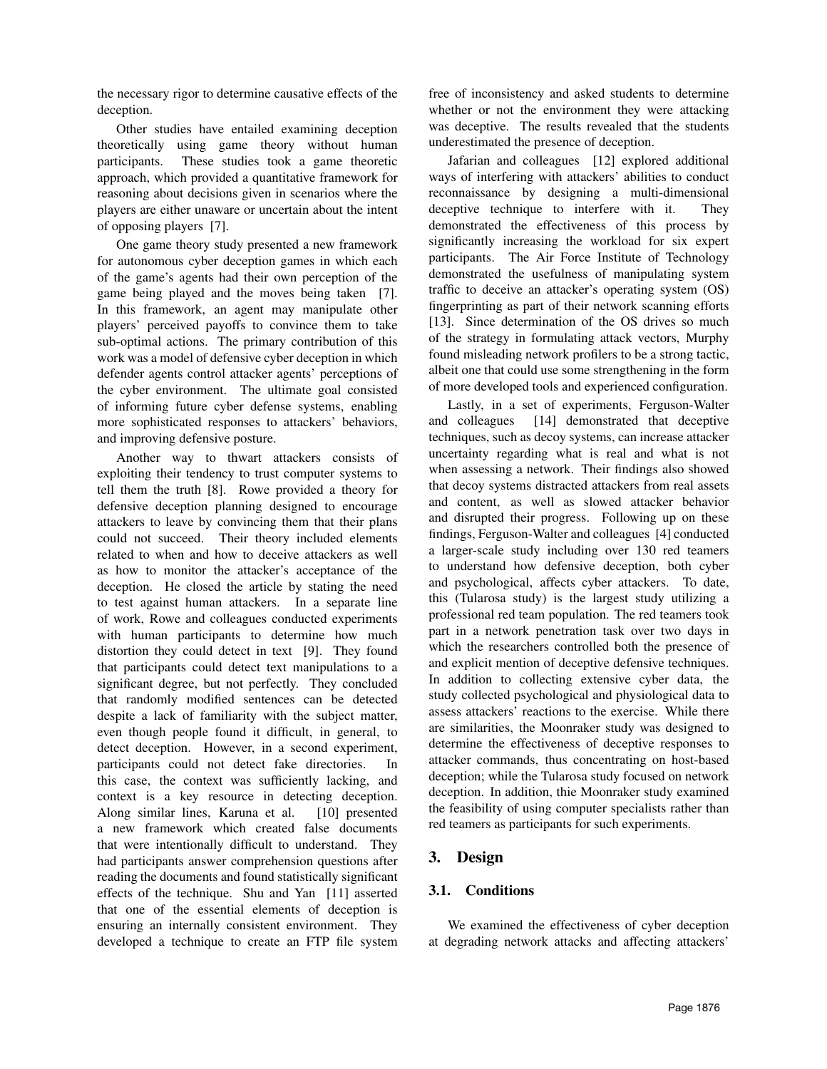the necessary rigor to determine causative effects of the deception.

Other studies have entailed examining deception theoretically using game theory without human participants. These studies took a game theoretic approach, which provided a quantitative framework for reasoning about decisions given in scenarios where the players are either unaware or uncertain about the intent of opposing players [7].

One game theory study presented a new framework for autonomous cyber deception games in which each of the game's agents had their own perception of the game being played and the moves being taken [7]. In this framework, an agent may manipulate other players' perceived payoffs to convince them to take sub-optimal actions. The primary contribution of this work was a model of defensive cyber deception in which defender agents control attacker agents' perceptions of the cyber environment. The ultimate goal consisted of informing future cyber defense systems, enabling more sophisticated responses to attackers' behaviors, and improving defensive posture.

Another way to thwart attackers consists of exploiting their tendency to trust computer systems to tell them the truth [8]. Rowe provided a theory for defensive deception planning designed to encourage attackers to leave by convincing them that their plans could not succeed. Their theory included elements related to when and how to deceive attackers as well as how to monitor the attacker's acceptance of the deception. He closed the article by stating the need to test against human attackers. In a separate line of work, Rowe and colleagues conducted experiments with human participants to determine how much distortion they could detect in text [9]. They found that participants could detect text manipulations to a significant degree, but not perfectly. They concluded that randomly modified sentences can be detected despite a lack of familiarity with the subject matter, even though people found it difficult, in general, to detect deception. However, in a second experiment, participants could not detect fake directories. In this case, the context was sufficiently lacking, and context is a key resource in detecting deception. Along similar lines, Karuna et al. [10] presented a new framework which created false documents that were intentionally difficult to understand. They had participants answer comprehension questions after reading the documents and found statistically significant effects of the technique. Shu and Yan [11] asserted that one of the essential elements of deception is ensuring an internally consistent environment. They developed a technique to create an FTP file system free of inconsistency and asked students to determine whether or not the environment they were attacking was deceptive. The results revealed that the students underestimated the presence of deception.

Jafarian and colleagues [12] explored additional ways of interfering with attackers' abilities to conduct reconnaissance by designing a multi-dimensional deceptive technique to interfere with it. They demonstrated the effectiveness of this process by significantly increasing the workload for six expert participants. The Air Force Institute of Technology demonstrated the usefulness of manipulating system traffic to deceive an attacker's operating system (OS) fingerprinting as part of their network scanning efforts [13]. Since determination of the OS drives so much of the strategy in formulating attack vectors, Murphy found misleading network profilers to be a strong tactic, albeit one that could use some strengthening in the form of more developed tools and experienced configuration.

Lastly, in a set of experiments, Ferguson-Walter and colleagues [14] demonstrated that deceptive techniques, such as decoy systems, can increase attacker uncertainty regarding what is real and what is not when assessing a network. Their findings also showed that decoy systems distracted attackers from real assets and content, as well as slowed attacker behavior and disrupted their progress. Following up on these findings, Ferguson-Walter and colleagues [4] conducted a larger-scale study including over 130 red teamers to understand how defensive deception, both cyber and psychological, affects cyber attackers. To date, this (Tularosa study) is the largest study utilizing a professional red team population. The red teamers took part in a network penetration task over two days in which the researchers controlled both the presence of and explicit mention of deceptive defensive techniques. In addition to collecting extensive cyber data, the study collected psychological and physiological data to assess attackers' reactions to the exercise. While there are similarities, the Moonraker study was designed to determine the effectiveness of deceptive responses to attacker commands, thus concentrating on host-based deception; while the Tularosa study focused on network deception. In addition, thie Moonraker study examined the feasibility of using computer specialists rather than red teamers as participants for such experiments.

# 3. Design

# 3.1. Conditions

We examined the effectiveness of cyber deception at degrading network attacks and affecting attackers'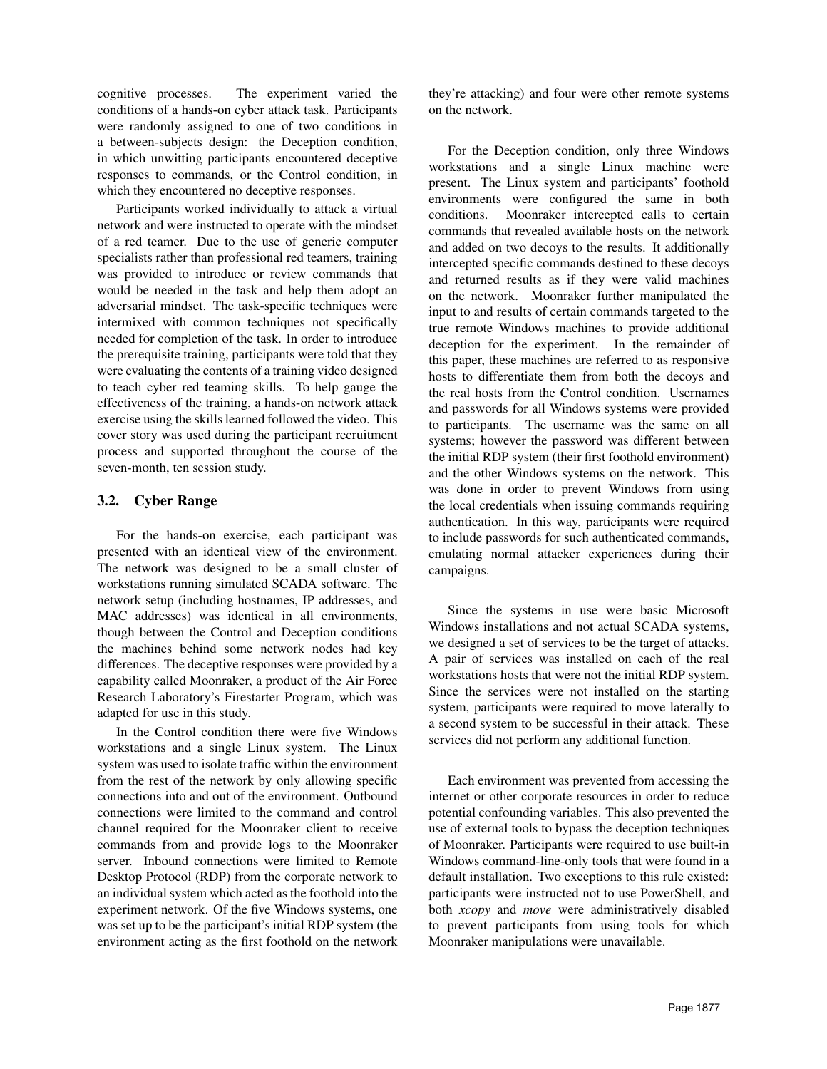cognitive processes. The experiment varied the conditions of a hands-on cyber attack task. Participants were randomly assigned to one of two conditions in a between-subjects design: the Deception condition, in which unwitting participants encountered deceptive responses to commands, or the Control condition, in which they encountered no deceptive responses.

Participants worked individually to attack a virtual network and were instructed to operate with the mindset of a red teamer. Due to the use of generic computer specialists rather than professional red teamers, training was provided to introduce or review commands that would be needed in the task and help them adopt an adversarial mindset. The task-specific techniques were intermixed with common techniques not specifically needed for completion of the task. In order to introduce the prerequisite training, participants were told that they were evaluating the contents of a training video designed to teach cyber red teaming skills. To help gauge the effectiveness of the training, a hands-on network attack exercise using the skills learned followed the video. This cover story was used during the participant recruitment process and supported throughout the course of the seven-month, ten session study.

#### 3.2. Cyber Range

For the hands-on exercise, each participant was presented with an identical view of the environment. The network was designed to be a small cluster of workstations running simulated SCADA software. The network setup (including hostnames, IP addresses, and MAC addresses) was identical in all environments, though between the Control and Deception conditions the machines behind some network nodes had key differences. The deceptive responses were provided by a capability called Moonraker, a product of the Air Force Research Laboratory's Firestarter Program, which was adapted for use in this study.

In the Control condition there were five Windows workstations and a single Linux system. The Linux system was used to isolate traffic within the environment from the rest of the network by only allowing specific connections into and out of the environment. Outbound connections were limited to the command and control channel required for the Moonraker client to receive commands from and provide logs to the Moonraker server. Inbound connections were limited to Remote Desktop Protocol (RDP) from the corporate network to an individual system which acted as the foothold into the experiment network. Of the five Windows systems, one was set up to be the participant's initial RDP system (the environment acting as the first foothold on the network they're attacking) and four were other remote systems on the network.

For the Deception condition, only three Windows workstations and a single Linux machine were present. The Linux system and participants' foothold environments were configured the same in both conditions. Moonraker intercepted calls to certain commands that revealed available hosts on the network and added on two decoys to the results. It additionally intercepted specific commands destined to these decoys and returned results as if they were valid machines on the network. Moonraker further manipulated the input to and results of certain commands targeted to the true remote Windows machines to provide additional deception for the experiment. In the remainder of this paper, these machines are referred to as responsive hosts to differentiate them from both the decoys and the real hosts from the Control condition. Usernames and passwords for all Windows systems were provided to participants. The username was the same on all systems; however the password was different between the initial RDP system (their first foothold environment) and the other Windows systems on the network. This was done in order to prevent Windows from using the local credentials when issuing commands requiring authentication. In this way, participants were required to include passwords for such authenticated commands, emulating normal attacker experiences during their campaigns.

Since the systems in use were basic Microsoft Windows installations and not actual SCADA systems, we designed a set of services to be the target of attacks. A pair of services was installed on each of the real workstations hosts that were not the initial RDP system. Since the services were not installed on the starting system, participants were required to move laterally to a second system to be successful in their attack. These services did not perform any additional function.

Each environment was prevented from accessing the internet or other corporate resources in order to reduce potential confounding variables. This also prevented the use of external tools to bypass the deception techniques of Moonraker. Participants were required to use built-in Windows command-line-only tools that were found in a default installation. Two exceptions to this rule existed: participants were instructed not to use PowerShell, and both *xcopy* and *move* were administratively disabled to prevent participants from using tools for which Moonraker manipulations were unavailable.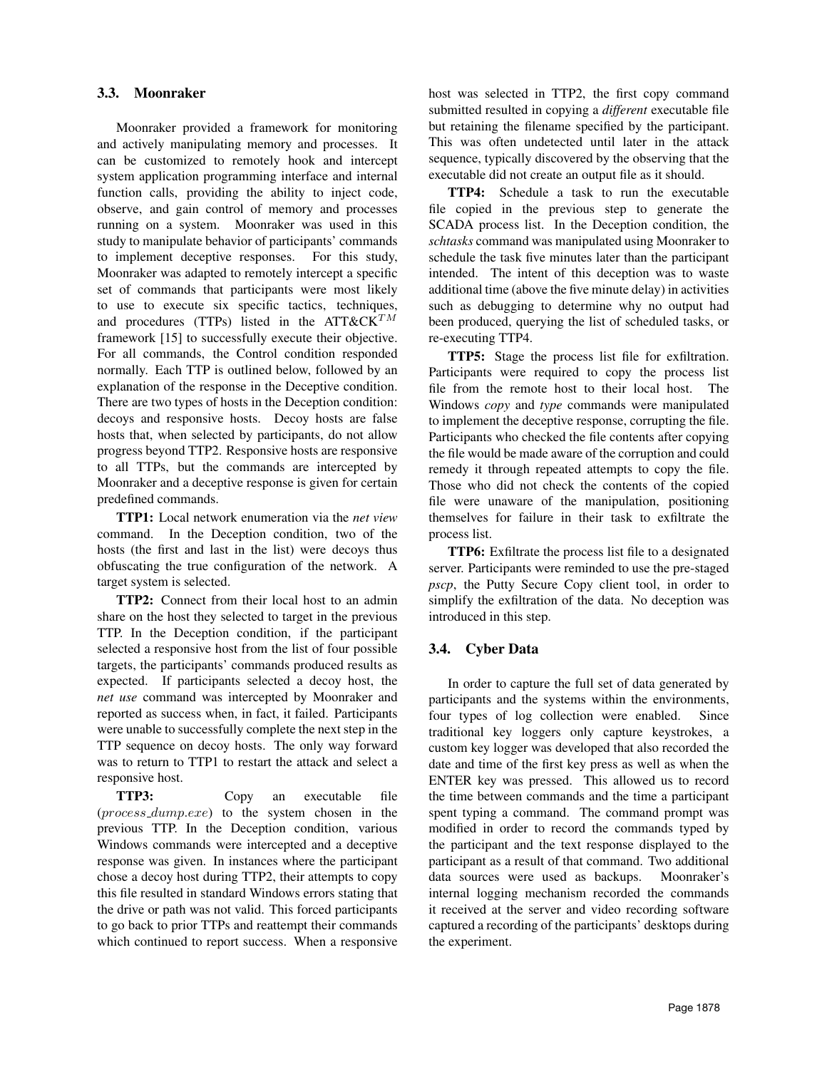#### 3.3. Moonraker

Moonraker provided a framework for monitoring and actively manipulating memory and processes. It can be customized to remotely hook and intercept system application programming interface and internal function calls, providing the ability to inject code, observe, and gain control of memory and processes running on a system. Moonraker was used in this study to manipulate behavior of participants' commands to implement deceptive responses. For this study, Moonraker was adapted to remotely intercept a specific set of commands that participants were most likely to use to execute six specific tactics, techniques, and procedures (TTPs) listed in the ATT&CK $^{TM}$ framework [15] to successfully execute their objective. For all commands, the Control condition responded normally. Each TTP is outlined below, followed by an explanation of the response in the Deceptive condition. There are two types of hosts in the Deception condition: decoys and responsive hosts. Decoy hosts are false hosts that, when selected by participants, do not allow progress beyond TTP2. Responsive hosts are responsive to all TTPs, but the commands are intercepted by Moonraker and a deceptive response is given for certain predefined commands.

TTP1: Local network enumeration via the *net view* command. In the Deception condition, two of the hosts (the first and last in the list) were decoys thus obfuscating the true configuration of the network. A target system is selected.

TTP2: Connect from their local host to an admin share on the host they selected to target in the previous TTP. In the Deception condition, if the participant selected a responsive host from the list of four possible targets, the participants' commands produced results as expected. If participants selected a decoy host, the *net use* command was intercepted by Moonraker and reported as success when, in fact, it failed. Participants were unable to successfully complete the next step in the TTP sequence on decoy hosts. The only way forward was to return to TTP1 to restart the attack and select a responsive host.

TTP3: Copy an executable file (process dump.exe) to the system chosen in the previous TTP. In the Deception condition, various Windows commands were intercepted and a deceptive response was given. In instances where the participant chose a decoy host during TTP2, their attempts to copy this file resulted in standard Windows errors stating that the drive or path was not valid. This forced participants to go back to prior TTPs and reattempt their commands which continued to report success. When a responsive host was selected in TTP2, the first copy command submitted resulted in copying a *different* executable file but retaining the filename specified by the participant. This was often undetected until later in the attack sequence, typically discovered by the observing that the executable did not create an output file as it should.

TTP4: Schedule a task to run the executable file copied in the previous step to generate the SCADA process list. In the Deception condition, the *schtasks* command was manipulated using Moonraker to schedule the task five minutes later than the participant intended. The intent of this deception was to waste additional time (above the five minute delay) in activities such as debugging to determine why no output had been produced, querying the list of scheduled tasks, or re-executing TTP4.

TTP5: Stage the process list file for exfiltration. Participants were required to copy the process list file from the remote host to their local host. The Windows *copy* and *type* commands were manipulated to implement the deceptive response, corrupting the file. Participants who checked the file contents after copying the file would be made aware of the corruption and could remedy it through repeated attempts to copy the file. Those who did not check the contents of the copied file were unaware of the manipulation, positioning themselves for failure in their task to exfiltrate the process list.

TTP6: Exfiltrate the process list file to a designated server. Participants were reminded to use the pre-staged *pscp*, the Putty Secure Copy client tool, in order to simplify the exfiltration of the data. No deception was introduced in this step.

#### 3.4. Cyber Data

In order to capture the full set of data generated by participants and the systems within the environments, four types of log collection were enabled. Since traditional key loggers only capture keystrokes, a custom key logger was developed that also recorded the date and time of the first key press as well as when the ENTER key was pressed. This allowed us to record the time between commands and the time a participant spent typing a command. The command prompt was modified in order to record the commands typed by the participant and the text response displayed to the participant as a result of that command. Two additional data sources were used as backups. Moonraker's internal logging mechanism recorded the commands it received at the server and video recording software captured a recording of the participants' desktops during the experiment.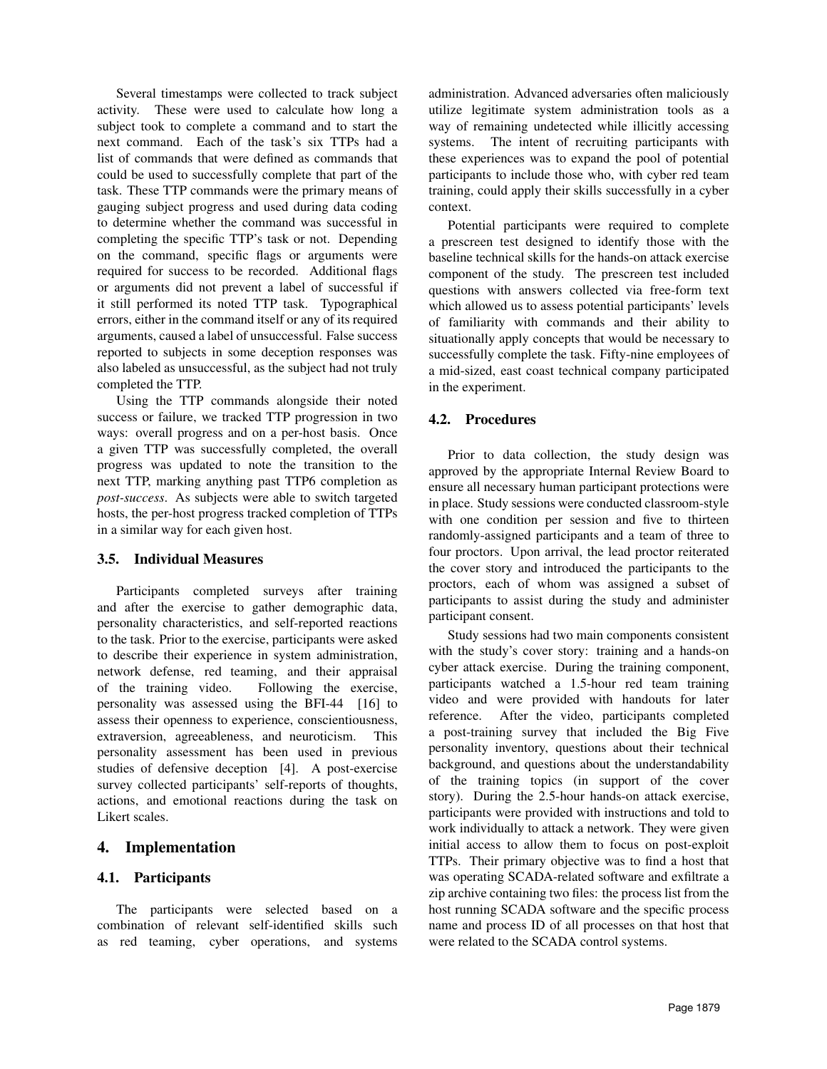Several timestamps were collected to track subject activity. These were used to calculate how long a subject took to complete a command and to start the next command. Each of the task's six TTPs had a list of commands that were defined as commands that could be used to successfully complete that part of the task. These TTP commands were the primary means of gauging subject progress and used during data coding to determine whether the command was successful in completing the specific TTP's task or not. Depending on the command, specific flags or arguments were required for success to be recorded. Additional flags or arguments did not prevent a label of successful if it still performed its noted TTP task. Typographical errors, either in the command itself or any of its required arguments, caused a label of unsuccessful. False success reported to subjects in some deception responses was also labeled as unsuccessful, as the subject had not truly completed the TTP.

Using the TTP commands alongside their noted success or failure, we tracked TTP progression in two ways: overall progress and on a per-host basis. Once a given TTP was successfully completed, the overall progress was updated to note the transition to the next TTP, marking anything past TTP6 completion as *post-success*. As subjects were able to switch targeted hosts, the per-host progress tracked completion of TTPs in a similar way for each given host.

#### 3.5. Individual Measures

Participants completed surveys after training and after the exercise to gather demographic data, personality characteristics, and self-reported reactions to the task. Prior to the exercise, participants were asked to describe their experience in system administration, network defense, red teaming, and their appraisal of the training video. Following the exercise, personality was assessed using the BFI-44 [16] to assess their openness to experience, conscientiousness, extraversion, agreeableness, and neuroticism. This personality assessment has been used in previous studies of defensive deception [4]. A post-exercise survey collected participants' self-reports of thoughts, actions, and emotional reactions during the task on Likert scales.

### 4. Implementation

#### 4.1. Participants

The participants were selected based on a combination of relevant self-identified skills such as red teaming, cyber operations, and systems administration. Advanced adversaries often maliciously utilize legitimate system administration tools as a way of remaining undetected while illicitly accessing systems. The intent of recruiting participants with these experiences was to expand the pool of potential participants to include those who, with cyber red team training, could apply their skills successfully in a cyber context.

Potential participants were required to complete a prescreen test designed to identify those with the baseline technical skills for the hands-on attack exercise component of the study. The prescreen test included questions with answers collected via free-form text which allowed us to assess potential participants' levels of familiarity with commands and their ability to situationally apply concepts that would be necessary to successfully complete the task. Fifty-nine employees of a mid-sized, east coast technical company participated in the experiment.

### 4.2. Procedures

Prior to data collection, the study design was approved by the appropriate Internal Review Board to ensure all necessary human participant protections were in place. Study sessions were conducted classroom-style with one condition per session and five to thirteen randomly-assigned participants and a team of three to four proctors. Upon arrival, the lead proctor reiterated the cover story and introduced the participants to the proctors, each of whom was assigned a subset of participants to assist during the study and administer participant consent.

Study sessions had two main components consistent with the study's cover story: training and a hands-on cyber attack exercise. During the training component, participants watched a 1.5-hour red team training video and were provided with handouts for later reference. After the video, participants completed a post-training survey that included the Big Five personality inventory, questions about their technical background, and questions about the understandability of the training topics (in support of the cover story). During the 2.5-hour hands-on attack exercise, participants were provided with instructions and told to work individually to attack a network. They were given initial access to allow them to focus on post-exploit TTPs. Their primary objective was to find a host that was operating SCADA-related software and exfiltrate a zip archive containing two files: the process list from the host running SCADA software and the specific process name and process ID of all processes on that host that were related to the SCADA control systems.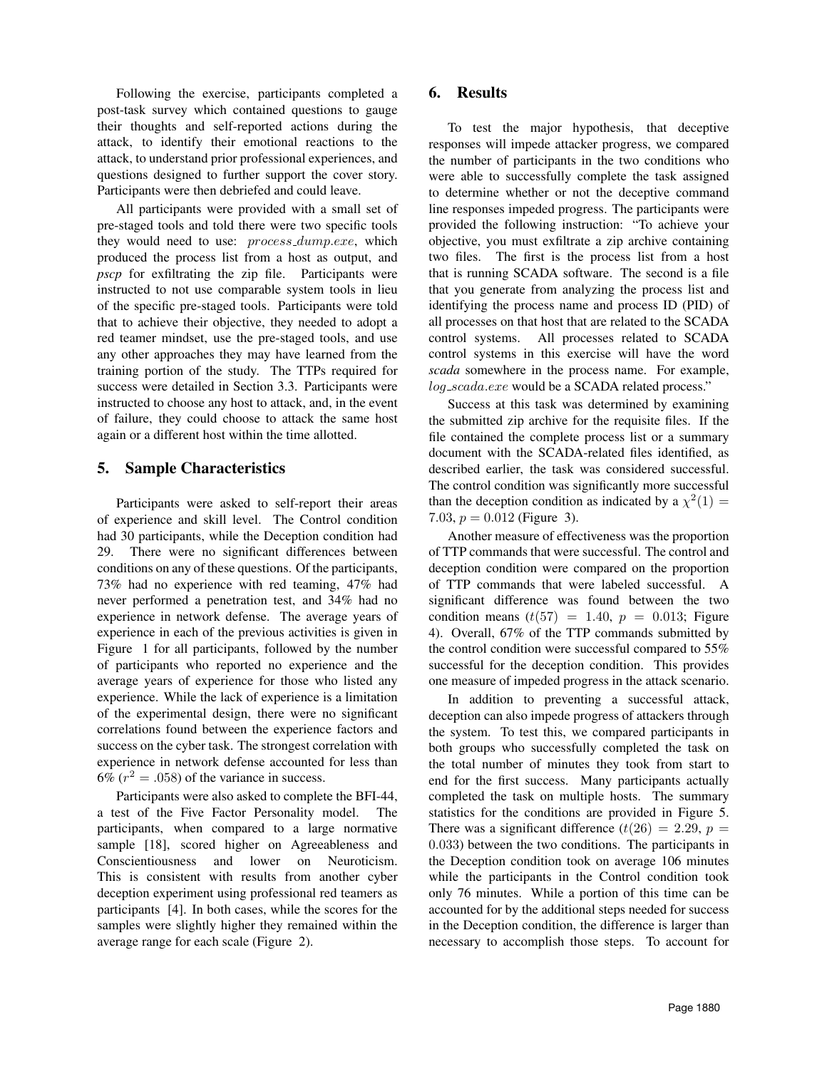Following the exercise, participants completed a post-task survey which contained questions to gauge their thoughts and self-reported actions during the attack, to identify their emotional reactions to the attack, to understand prior professional experiences, and questions designed to further support the cover story. Participants were then debriefed and could leave.

All participants were provided with a small set of pre-staged tools and told there were two specific tools they would need to use: *process\_dump.exe*, which produced the process list from a host as output, and *pscp* for exfiltrating the zip file. Participants were instructed to not use comparable system tools in lieu of the specific pre-staged tools. Participants were told that to achieve their objective, they needed to adopt a red teamer mindset, use the pre-staged tools, and use any other approaches they may have learned from the training portion of the study. The TTPs required for success were detailed in Section 3.3. Participants were instructed to choose any host to attack, and, in the event of failure, they could choose to attack the same host again or a different host within the time allotted.

### 5. Sample Characteristics

Participants were asked to self-report their areas of experience and skill level. The Control condition had 30 participants, while the Deception condition had 29. There were no significant differences between conditions on any of these questions. Of the participants, 73% had no experience with red teaming, 47% had never performed a penetration test, and 34% had no experience in network defense. The average years of experience in each of the previous activities is given in Figure 1 for all participants, followed by the number of participants who reported no experience and the average years of experience for those who listed any experience. While the lack of experience is a limitation of the experimental design, there were no significant correlations found between the experience factors and success on the cyber task. The strongest correlation with experience in network defense accounted for less than 6% ( $r^2 = .058$ ) of the variance in success.

Participants were also asked to complete the BFI-44, a test of the Five Factor Personality model. The participants, when compared to a large normative sample [18], scored higher on Agreeableness and Conscientiousness and lower on Neuroticism. This is consistent with results from another cyber deception experiment using professional red teamers as participants [4]. In both cases, while the scores for the samples were slightly higher they remained within the average range for each scale (Figure 2).

### 6. Results

To test the major hypothesis, that deceptive responses will impede attacker progress, we compared the number of participants in the two conditions who were able to successfully complete the task assigned to determine whether or not the deceptive command line responses impeded progress. The participants were provided the following instruction: "To achieve your objective, you must exfiltrate a zip archive containing two files. The first is the process list from a host that is running SCADA software. The second is a file that you generate from analyzing the process list and identifying the process name and process ID (PID) of all processes on that host that are related to the SCADA control systems. All processes related to SCADA control systems in this exercise will have the word *scada* somewhere in the process name. For example, log\_scada.exe would be a SCADA related process."

Success at this task was determined by examining the submitted zip archive for the requisite files. If the file contained the complete process list or a summary document with the SCADA-related files identified, as described earlier, the task was considered successful. The control condition was significantly more successful than the deception condition as indicated by a  $\chi^2(1) =$ 7.03,  $p = 0.012$  (Figure 3).

Another measure of effectiveness was the proportion of TTP commands that were successful. The control and deception condition were compared on the proportion of TTP commands that were labeled successful. A significant difference was found between the two condition means  $(t(57) = 1.40, p = 0.013;$  Figure 4). Overall, 67% of the TTP commands submitted by the control condition were successful compared to 55% successful for the deception condition. This provides one measure of impeded progress in the attack scenario.

In addition to preventing a successful attack, deception can also impede progress of attackers through the system. To test this, we compared participants in both groups who successfully completed the task on the total number of minutes they took from start to end for the first success. Many participants actually completed the task on multiple hosts. The summary statistics for the conditions are provided in Figure 5. There was a significant difference  $(t(26) = 2.29, p =$ 0.033) between the two conditions. The participants in the Deception condition took on average 106 minutes while the participants in the Control condition took only 76 minutes. While a portion of this time can be accounted for by the additional steps needed for success in the Deception condition, the difference is larger than necessary to accomplish those steps. To account for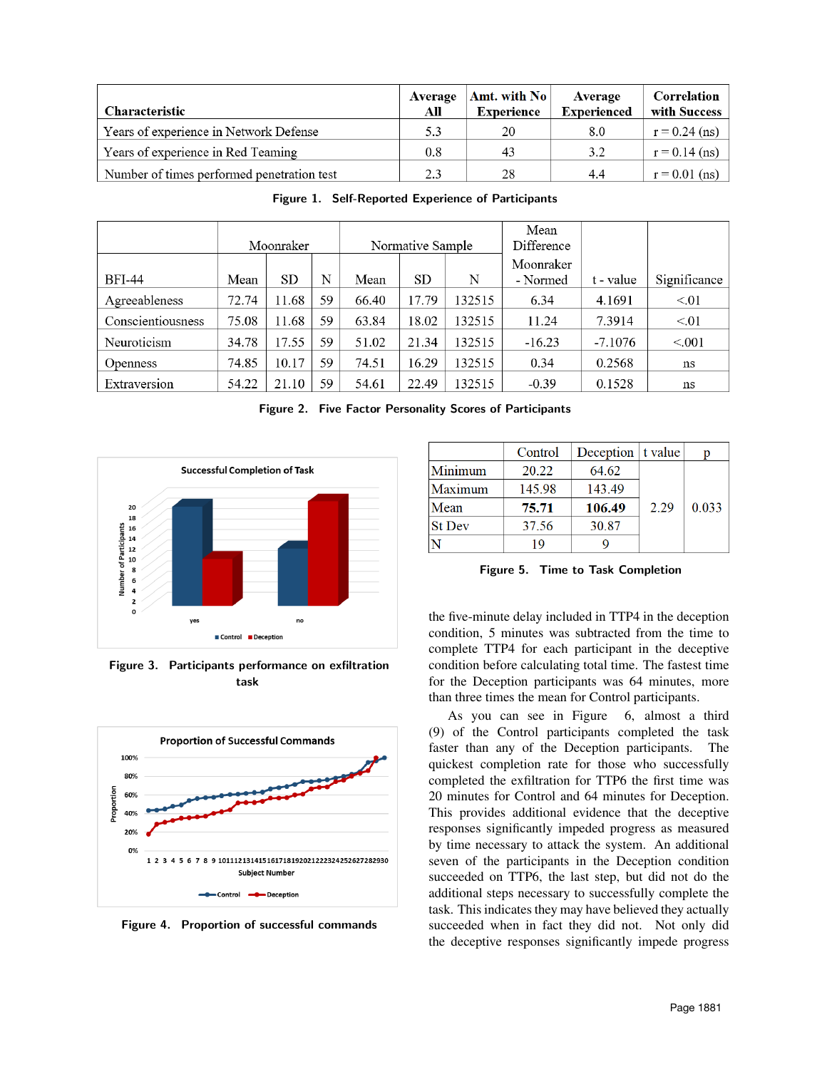| <b>Characteristic</b>                      | Average<br>All | Amt. with $\text{No}$<br><b>Experience</b> | Average<br><b>Experienced</b> | Correlation<br>with Success |
|--------------------------------------------|----------------|--------------------------------------------|-------------------------------|-----------------------------|
| Years of experience in Network Defense     | 5.3            | 20                                         | 8.0                           | $r = 0.24$ (ns)             |
| Years of experience in Red Teaming         | 0.8            | 43                                         | 3.2                           | $r = 0.14$ (ns)             |
| Number of times performed penetration test | 2.3            | 28                                         | 4.4                           | $r = 0.01$ (ns)             |

|                   | Normative Sample<br>Moonraker |       |    |       | Mean<br>Difference |        |                       |           |              |
|-------------------|-------------------------------|-------|----|-------|--------------------|--------|-----------------------|-----------|--------------|
| <b>BFI-44</b>     | Mean                          | SD    | N  | Mean  | <b>SD</b>          | N      | Moonraker<br>- Normed | t - value | Significance |
| Agreeableness     | 72.74                         | 11.68 | 59 | 66.40 | 17.79              | 132515 | 6.34                  | 4.1691    | < 01         |
| Conscientiousness | 75.08                         | 11.68 | 59 | 63.84 | 18.02              | 132515 | 11.24                 | 7.3914    | < 01         |
| Neuroticism       | 34.78                         | 17.55 | 59 | 51.02 | 21.34              | 132515 | $-16.23$              | -7.1076   | < 0.001      |
| <b>Openness</b>   | 74.85                         | 10.17 | 59 | 74.51 | 16.29              | 132515 | 0.34                  | 0.2568    | ns           |
| Extraversion      | 54.22                         | 21.10 | 59 | 54.61 | 22.49              | 132515 | $-0.39$               | 0.1528    | ns           |

Figure 2. Five Factor Personality Scores of Participants

Figure 1. Self-Reported Experience of Participants



20 18 16 Number of Participants  $\bf{14}$  $12$ 10 8 6  $\overline{4}$  $\overline{a}$ 0 yes no Control **Deception** 

Figure 3. Participants performance on exfiltration task



Figure 4. Proportion of successful commands

|               | Control | Deception $\vert$ t value |      | p     |
|---------------|---------|---------------------------|------|-------|
| Minimum       | 20.22   | 64.62                     |      | 0.033 |
| Maximum       | 145.98  | 143.49                    |      |       |
| Mean          | 75.71   | 106.49                    | 2.29 |       |
| <b>St Dev</b> | 37.56   | 30.87                     |      |       |
|               | 19      |                           |      |       |

Figure 5. Time to Task Completion

the five-minute delay included in TTP4 in the deception condition, 5 minutes was subtracted from the time to complete TTP4 for each participant in the deceptive condition before calculating total time. The fastest time for the Deception participants was 64 minutes, more than three times the mean for Control participants.

As you can see in Figure 6, almost a third (9) of the Control participants completed the task faster than any of the Deception participants. The quickest completion rate for those who successfully completed the exfiltration for TTP6 the first time was 20 minutes for Control and 64 minutes for Deception. This provides additional evidence that the deceptive responses significantly impeded progress as measured by time necessary to attack the system. An additional seven of the participants in the Deception condition succeeded on TTP6, the last step, but did not do the additional steps necessary to successfully complete the task. This indicates they may have believed they actually succeeded when in fact they did not. Not only did the deceptive responses significantly impede progress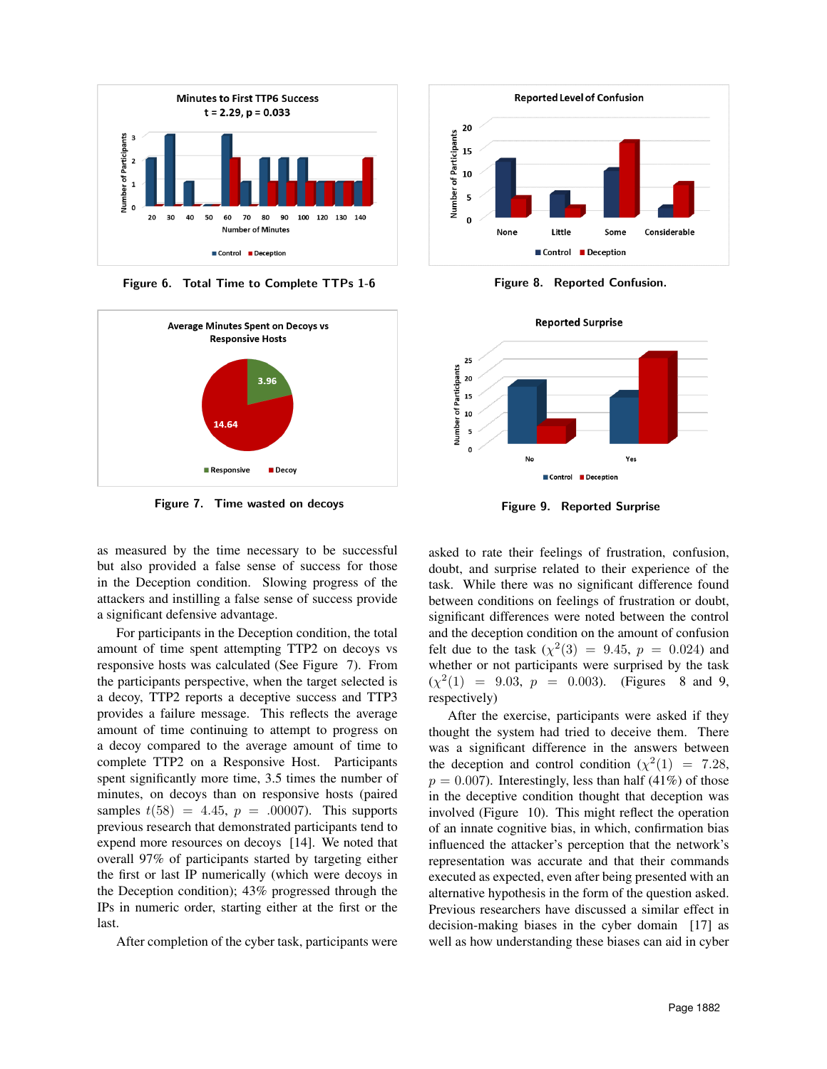

Figure 6. Total Time to Complete TTPs 1-6



Figure 7. Time wasted on decoys

as measured by the time necessary to be successful but also provided a false sense of success for those in the Deception condition. Slowing progress of the attackers and instilling a false sense of success provide a significant defensive advantage.

For participants in the Deception condition, the total amount of time spent attempting TTP2 on decoys vs responsive hosts was calculated (See Figure 7). From the participants perspective, when the target selected is a decoy, TTP2 reports a deceptive success and TTP3 provides a failure message. This reflects the average amount of time continuing to attempt to progress on a decoy compared to the average amount of time to complete TTP2 on a Responsive Host. Participants spent significantly more time, 3.5 times the number of minutes, on decoys than on responsive hosts (paired samples  $t(58) = 4.45$ ,  $p = .00007$ . This supports previous research that demonstrated participants tend to expend more resources on decoys [14]. We noted that overall 97% of participants started by targeting either the first or last IP numerically (which were decoys in the Deception condition); 43% progressed through the IPs in numeric order, starting either at the first or the last.

After completion of the cyber task, participants were



Figure 8. Reported Confusion.



Figure 9. Reported Surprise

asked to rate their feelings of frustration, confusion, doubt, and surprise related to their experience of the task. While there was no significant difference found between conditions on feelings of frustration or doubt, significant differences were noted between the control and the deception condition on the amount of confusion felt due to the task  $(\chi^2(3) = 9.45, p = 0.024)$  and whether or not participants were surprised by the task  $(\chi^2(1) = 9.03, p = 0.003)$ . (Figures 8 and 9, respectively)

After the exercise, participants were asked if they thought the system had tried to deceive them. There was a significant difference in the answers between the deception and control condition  $(\chi^2(1) = 7.28,$  $p = 0.007$ . Interestingly, less than half (41%) of those in the deceptive condition thought that deception was involved (Figure 10). This might reflect the operation of an innate cognitive bias, in which, confirmation bias influenced the attacker's perception that the network's representation was accurate and that their commands executed as expected, even after being presented with an alternative hypothesis in the form of the question asked. Previous researchers have discussed a similar effect in decision-making biases in the cyber domain [17] as well as how understanding these biases can aid in cyber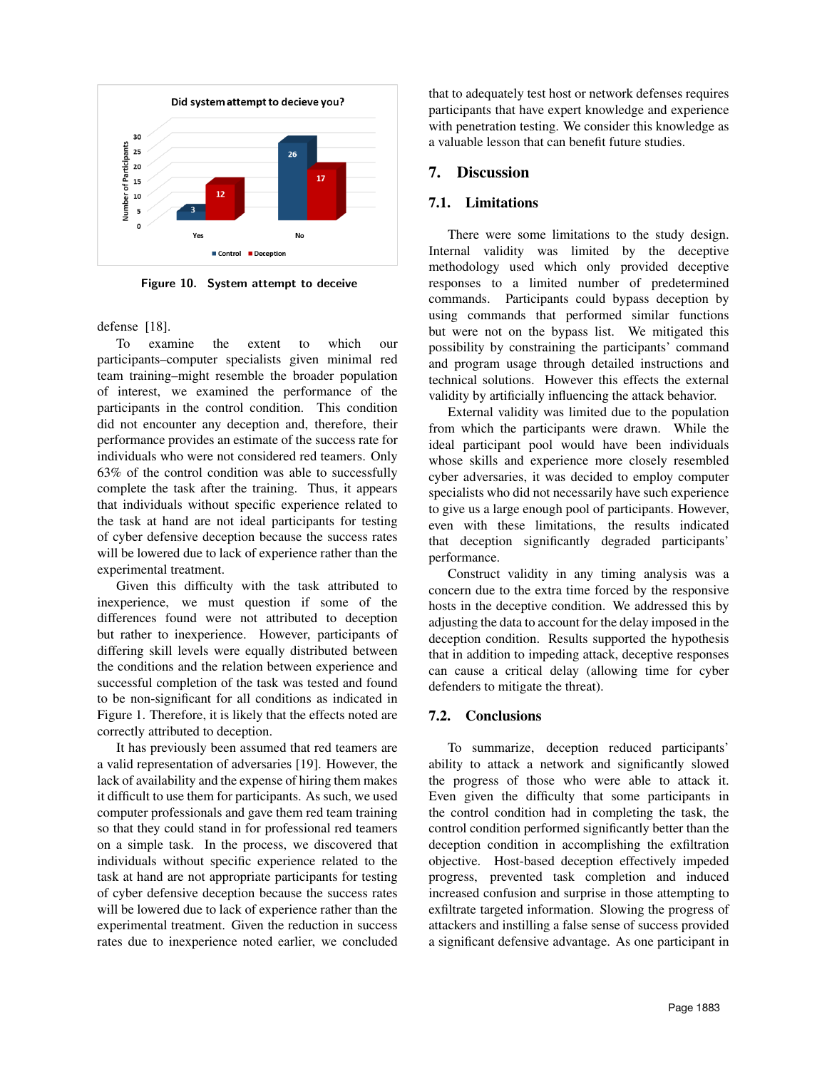

Figure 10. System attempt to deceive

defense [18].

To examine the extent to which our participants–computer specialists given minimal red team training–might resemble the broader population of interest, we examined the performance of the participants in the control condition. This condition did not encounter any deception and, therefore, their performance provides an estimate of the success rate for individuals who were not considered red teamers. Only 63% of the control condition was able to successfully complete the task after the training. Thus, it appears that individuals without specific experience related to the task at hand are not ideal participants for testing of cyber defensive deception because the success rates will be lowered due to lack of experience rather than the experimental treatment.

Given this difficulty with the task attributed to inexperience, we must question if some of the differences found were not attributed to deception but rather to inexperience. However, participants of differing skill levels were equally distributed between the conditions and the relation between experience and successful completion of the task was tested and found to be non-significant for all conditions as indicated in Figure 1. Therefore, it is likely that the effects noted are correctly attributed to deception.

It has previously been assumed that red teamers are a valid representation of adversaries [19]. However, the lack of availability and the expense of hiring them makes it difficult to use them for participants. As such, we used computer professionals and gave them red team training so that they could stand in for professional red teamers on a simple task. In the process, we discovered that individuals without specific experience related to the task at hand are not appropriate participants for testing of cyber defensive deception because the success rates will be lowered due to lack of experience rather than the experimental treatment. Given the reduction in success rates due to inexperience noted earlier, we concluded

that to adequately test host or network defenses requires participants that have expert knowledge and experience with penetration testing. We consider this knowledge as a valuable lesson that can benefit future studies.

## 7. Discussion

### 7.1. Limitations

There were some limitations to the study design. Internal validity was limited by the deceptive methodology used which only provided deceptive responses to a limited number of predetermined commands. Participants could bypass deception by using commands that performed similar functions but were not on the bypass list. We mitigated this possibility by constraining the participants' command and program usage through detailed instructions and technical solutions. However this effects the external validity by artificially influencing the attack behavior.

External validity was limited due to the population from which the participants were drawn. While the ideal participant pool would have been individuals whose skills and experience more closely resembled cyber adversaries, it was decided to employ computer specialists who did not necessarily have such experience to give us a large enough pool of participants. However, even with these limitations, the results indicated that deception significantly degraded participants' performance.

Construct validity in any timing analysis was a concern due to the extra time forced by the responsive hosts in the deceptive condition. We addressed this by adjusting the data to account for the delay imposed in the deception condition. Results supported the hypothesis that in addition to impeding attack, deceptive responses can cause a critical delay (allowing time for cyber defenders to mitigate the threat).

#### 7.2. Conclusions

To summarize, deception reduced participants' ability to attack a network and significantly slowed the progress of those who were able to attack it. Even given the difficulty that some participants in the control condition had in completing the task, the control condition performed significantly better than the deception condition in accomplishing the exfiltration objective. Host-based deception effectively impeded progress, prevented task completion and induced increased confusion and surprise in those attempting to exfiltrate targeted information. Slowing the progress of attackers and instilling a false sense of success provided a significant defensive advantage. As one participant in